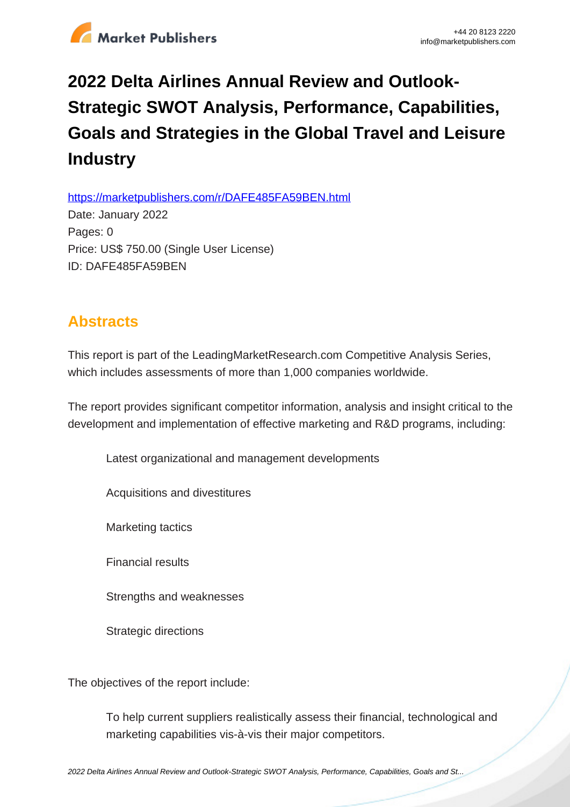

## **2022 Delta Airlines Annual Review and Outlook-Strategic SWOT Analysis, Performance, Capabilities, Goals and Strategies in the Global Travel and Leisure Industry**

https://marketpublishers.com/r/DAFE485FA59BEN.html

Date: January 2022 Pages: 0 Price: US\$ 750.00 (Single User License) ID: DAFE485FA59BEN

## **Abstracts**

This report is part of the LeadingMarketResearch.com Competitive Analysis Series, which includes assessments of more than 1,000 companies worldwide.

The report provides significant competitor information, analysis and insight critical to the development and implementation of effective marketing and R&D programs, including:

Latest organizational and management developments

Acquisitions and divestitures

Marketing tactics

Financial results

Strengths and weaknesses

Strategic directions

The objectives of the report include:

To help current suppliers realistically assess their financial, technological and marketing capabilities vis-à-vis their major competitors.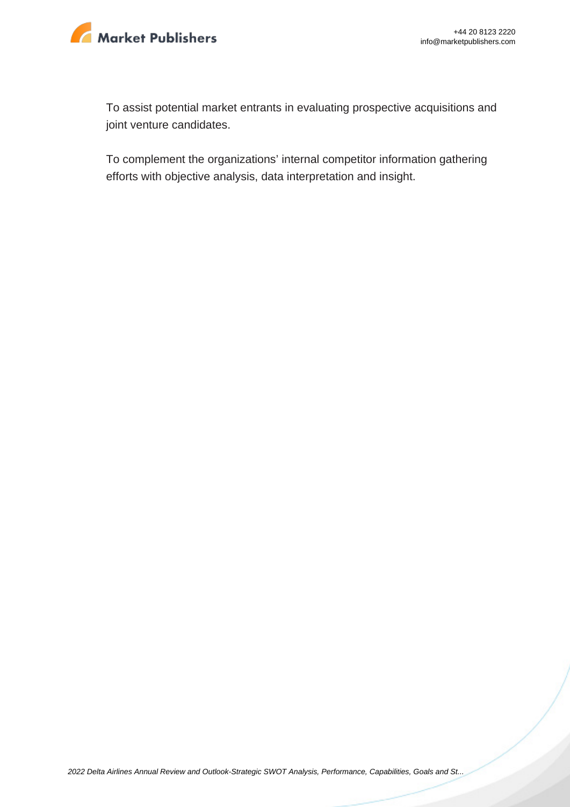

To assist potential market entrants in evaluating prospective acquisitions and joint venture candidates.

To complement the organizations' internal competitor information gathering efforts with objective analysis, data interpretation and insight.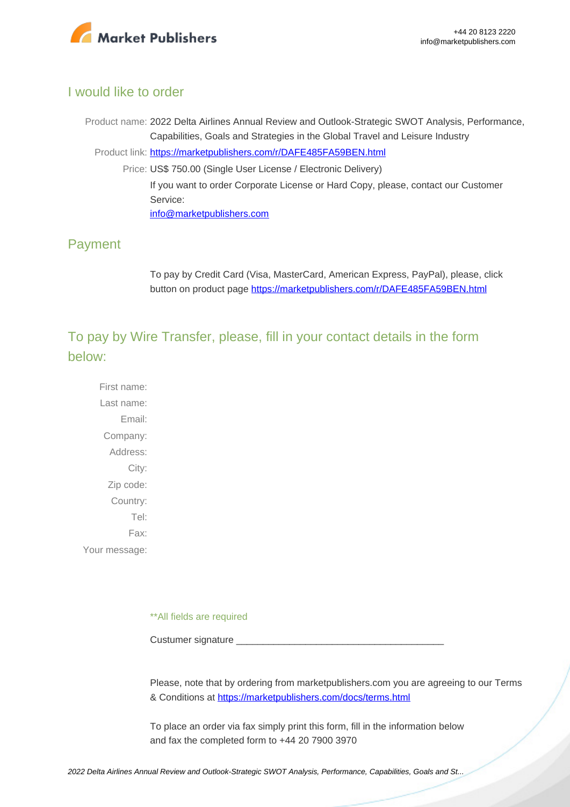

## I would like to order

Product name: 2022 Delta Airlines Annual Review and Outlook-Strategic SWOT Analysis, Performance, Capabilities, Goals and Strategies in the Global Travel and Leisure Industry Product link: [https://marketpublishers.com/r/DAFE485FA59BEN.html](https://marketpublishers.com/report/services/travel-leisure/delta-airlines-annual-review-n-outlook-strategic-swot-analysis-performance-capabilities-goals-n-strategies-in-global-travel-n-leisure-industry.html) Price: US\$ 750.00 (Single User License / Electronic Delivery) If you want to order Corporate License or Hard Copy, please, contact our Customer Service: [info@marketpublishers.com](mailto:info@marketpublishers.com)

## Payment

To pay by Credit Card (Visa, MasterCard, American Express, PayPal), please, click button on product page [https://marketpublishers.com/r/DAFE485FA59BEN.html](https://marketpublishers.com/report/services/travel-leisure/delta-airlines-annual-review-n-outlook-strategic-swot-analysis-performance-capabilities-goals-n-strategies-in-global-travel-n-leisure-industry.html)

To pay by Wire Transfer, please, fill in your contact details in the form below:

First name: Last name: Email: Company: Address: City: Zip code: Country: Tel: Fax: Your message:

\*\*All fields are required

Custumer signature

Please, note that by ordering from marketpublishers.com you are agreeing to our Terms & Conditions at<https://marketpublishers.com/docs/terms.html>

To place an order via fax simply print this form, fill in the information below and fax the completed form to +44 20 7900 3970